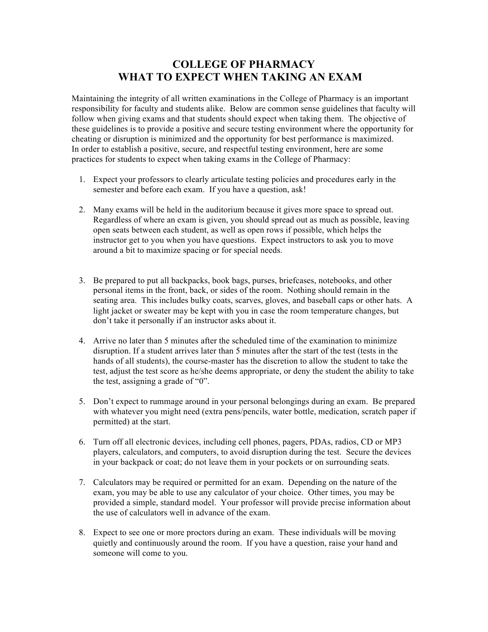## **COLLEGE OF PHARMACY WHAT TO EXPECT WHEN TAKING AN EXAM**

Maintaining the integrity of all written examinations in the College of Pharmacy is an important responsibility for faculty and students alike. Below are common sense guidelines that faculty will follow when giving exams and that students should expect when taking them. The objective of these guidelines is to provide a positive and secure testing environment where the opportunity for cheating or disruption is minimized and the opportunity for best performance is maximized. In order to establish a positive, secure, and respectful testing environment, here are some practices for students to expect when taking exams in the College of Pharmacy:

- 1. Expect your professors to clearly articulate testing policies and procedures early in the semester and before each exam. If you have a question, ask!
- 2. Many exams will be held in the auditorium because it gives more space to spread out. Regardless of where an exam is given, you should spread out as much as possible, leaving open seats between each student, as well as open rows if possible, which helps the instructor get to you when you have questions. Expect instructors to ask you to move around a bit to maximize spacing or for special needs.
- 3. Be prepared to put all backpacks, book bags, purses, briefcases, notebooks, and other personal items in the front, back, or sides of the room. Nothing should remain in the seating area. This includes bulky coats, scarves, gloves, and baseball caps or other hats. A light jacket or sweater may be kept with you in case the room temperature changes, but don't take it personally if an instructor asks about it.
- 4. Arrive no later than 5 minutes after the scheduled time of the examination to minimize disruption. If a student arrives later than 5 minutes after the start of the test (tests in the hands of all students), the course-master has the discretion to allow the student to take the test, adjust the test score as he/she deems appropriate, or deny the student the ability to take the test, assigning a grade of "0".
- 5. Don't expect to rummage around in your personal belongings during an exam. Be prepared with whatever you might need (extra pens/pencils, water bottle, medication, scratch paper if permitted) at the start.
- 6. Turn off all electronic devices, including cell phones, pagers, PDAs, radios, CD or MP3 players, calculators, and computers, to avoid disruption during the test. Secure the devices in your backpack or coat; do not leave them in your pockets or on surrounding seats.
- 7. Calculators may be required or permitted for an exam. Depending on the nature of the exam, you may be able to use any calculator of your choice. Other times, you may be provided a simple, standard model. Your professor will provide precise information about the use of calculators well in advance of the exam.
- 8. Expect to see one or more proctors during an exam. These individuals will be moving quietly and continuously around the room. If you have a question, raise your hand and someone will come to you.